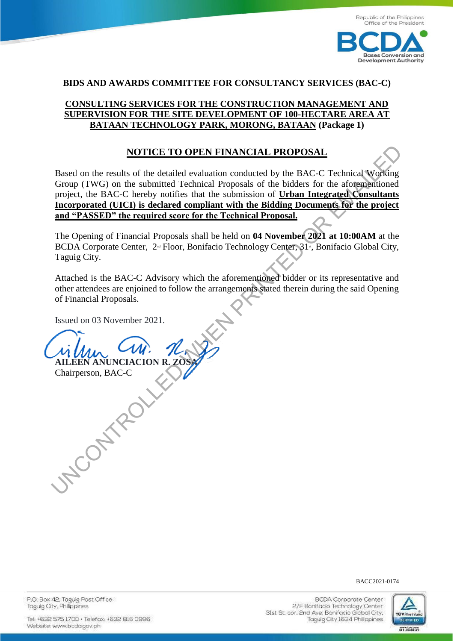

#### **BIDS AND AWARDS COMMITTEE FOR CONSULTANCY SERVICES (BAC-C)**

## **[CONSULTING SERVICES FOR THE CONSTRUCTION MANAGEMENT AND](https://bcda.gov.ph/bids/request-expression-interest-consulting-services-construction-management-and-supervision-site)  [SUPERVISION FOR THE SITE DEVELOPMENT OF 100-HECTARE AREA AT](https://bcda.gov.ph/bids/request-expression-interest-consulting-services-construction-management-and-supervision-site)  [BATAAN TECHNOLOGY PARK, MORONG, BATAAN](https://bcda.gov.ph/bids/request-expression-interest-consulting-services-construction-management-and-supervision-site) (Package 1)**

#### **NOTICE TO OPEN FINANCIAL PROPOSAL**

Based on the results of the detailed evaluation conducted by the BAC-C Technical Working Group (TWG) on the submitted Technical Proposals of the bidders for the aforementioned project, the BAC-C hereby notifies that the submission of **Urban Integrated Consultants Incorporated (UICI) is declared compliant with the Bidding Documents for the project and "PASSED" the required score for the Technical Proposal.** MOTICE TO OPEN FINANCIAL PROPOSAL<br>
Based on the results of the detailed evaluation conducted by the BAC-C Technical Working<br>
Group (TWG) on the submitted Technical Proposals of the biolders for the adope<br>
project, the BAC

The Opening of Financial Proposals shall be held on **04 November 2021 at 10:00AM** at the BCDA Corporate Center, 2<sup>nd</sup> Floor, Bonifacio Technology Center, 31<sup>st</sup>, Bonifacio Global City, Taguig City.

Attached is the BAC-C Advisory which the aforementioned bidder or its representative and other attendees are enjoined to follow the arrangements stated therein during the said Opening of Financial Proposals.

Issued on 03 November 2021.

**AILEEN ANUNCIACION R. ZOS** Chairperson, BAC-C

#### BACC2021-0174

P.O. Box 42. Taguig Post Office Taquig City, Philippines

**BCDA Corporate Center** 2/F Bonifacio Technology Center Sist St. cor. 2nd Ave. Bonifacio Global City, Taguig City 1634 Philippines

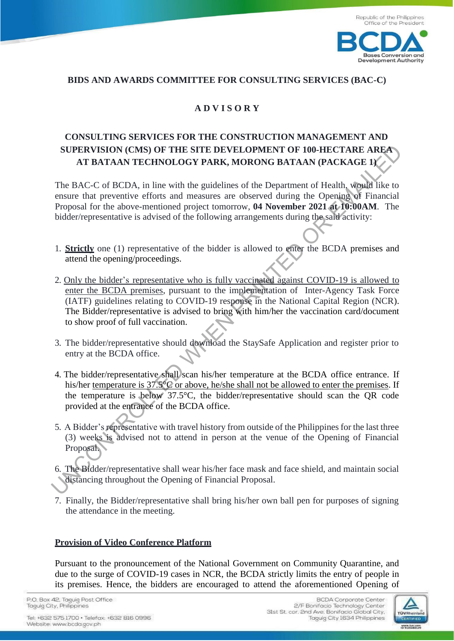

### **BIDS AND AWARDS COMMITTEE FOR CONSULTING SERVICES (BAC-C)**

# **A D V I S O R Y**

# **CONSULTING SERVICES FOR THE CONSTRUCTION MANAGEMENT AND SUPERVISION (CMS) OF THE SITE DEVELOPMENT OF 100-HECTARE AREA AT BATAAN TECHNOLOGY PARK, MORONG BATAAN (PACKAGE 1)**

The BAC-C of BCDA, in line with the guidelines of the Department of Health, would like to ensure that preventive efforts and measures are observed during the Opening of Financial Proposal for the above-mentioned project tomorrow, **04 November 2021 at 10:00AM**. The bidder/representative is advised of the following arrangements during the said activity:

- 1. **Strictly** one (1) representative of the bidder is allowed to enter the BCDA premises and attend the opening/proceedings.
- 2. Only the bidder's representative who is fully vaccinated against COVID-19 is allowed to enter the BCDA premises, pursuant to the implementation of Inter-Agency Task Force (IATF) guidelines relating to COVID-19 response in the National Capital Region (NCR). The Bidder/representative is advised to bring with him/her the vaccination card/document to show proof of full vaccination. **SUPERVISION (CMS) OF THE SITE DEVELOPMENT OF 100-HECTARE AREA<br>
AT BATAAN TECHNOLOGY PARK, MORONG BATAAN (PACKAGE 1)**<br>
The BAC-C of BCDA, in line with the guidelines of the Department of Health, we<br>
ensure that preventive
- 3. The bidder/representative should download the StaySafe Application and register prior to entry at the BCDA office.
- 4. The bidder/representative shall scan his/her temperature at the BCDA office entrance. If his/her temperature is 37.5°C or above, he/she shall not be allowed to enter the premises. If the temperature is below 37.5°C, the bidder/representative should scan the QR code provided at the entrance of the BCDA office.
- 5. A Bidder's representative with travel history from outside of the Philippines for the last three (3) weeks is advised not to attend in person at the venue of the Opening of Financial Proposal.
- 6. The Bidder/representative shall wear his/her face mask and face shield, and maintain social distancing throughout the Opening of Financial Proposal.
- 7. Finally, the Bidder/representative shall bring his/her own ball pen for purposes of signing the attendance in the meeting.

#### **Provision of Video Conference Platform**

Pursuant to the pronouncement of the National Government on Community Quarantine, and due to the surge of COVID-19 cases in NCR, the BCDA strictly limits the entry of people in its premises. Hence, the bidders are encouraged to attend the aforementioned Opening of

P.O. Box 42, Taguig Post Office Taguig City, Philippines